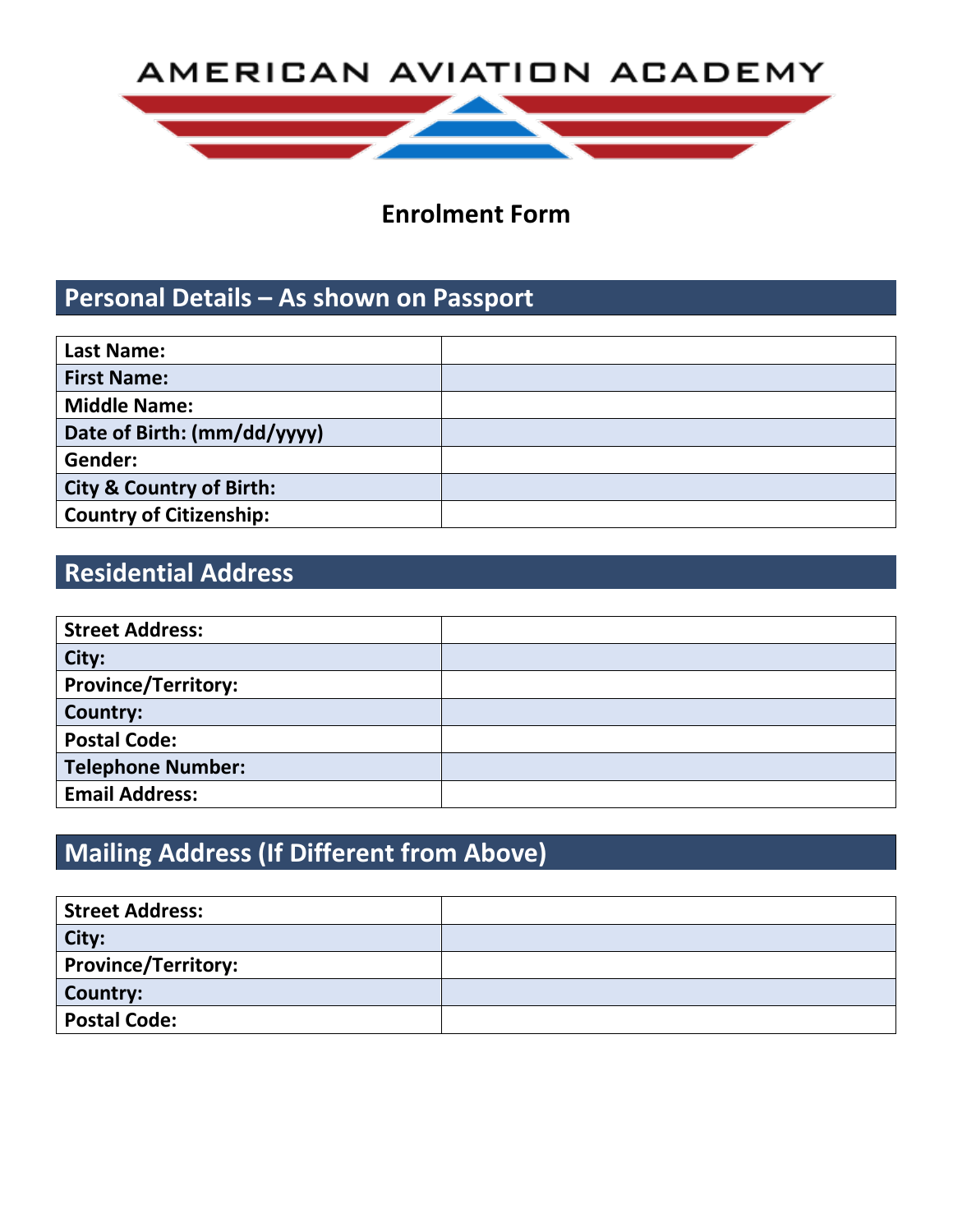# AMERICAN AVIATION ACADEMY



## **Enrolment Form**

## **Personal Details – As shown on Passport**

| <b>Last Name:</b>                   |  |
|-------------------------------------|--|
| <b>First Name:</b>                  |  |
| <b>Middle Name:</b>                 |  |
| Date of Birth: (mm/dd/yyyy)         |  |
| Gender:                             |  |
| <b>City &amp; Country of Birth:</b> |  |
| <b>Country of Citizenship:</b>      |  |

# **Residential Address**

| <b>Street Address:</b>     |  |
|----------------------------|--|
| City:                      |  |
| <b>Province/Territory:</b> |  |
| <b>Country:</b>            |  |
| <b>Postal Code:</b>        |  |
| <b>Telephone Number:</b>   |  |
| <b>Email Address:</b>      |  |

# **Mailing Address (If Different from Above)**

| <b>Street Address:</b>     |  |
|----------------------------|--|
| City:                      |  |
| <b>Province/Territory:</b> |  |
| Country:                   |  |
| <b>Postal Code:</b>        |  |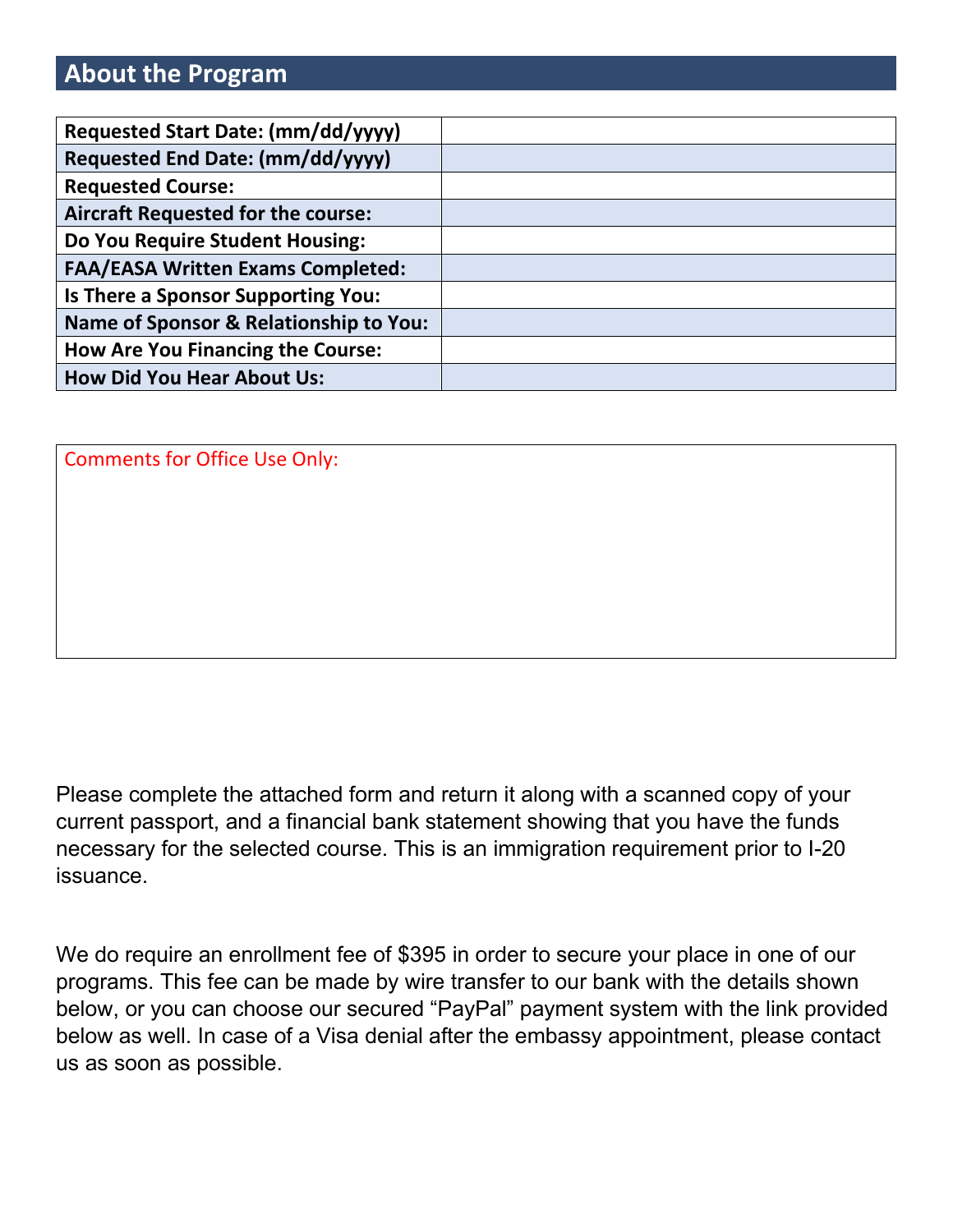## **About the Program**

| Requested Start Date: (mm/dd/yyyy)                |  |
|---------------------------------------------------|--|
| Requested End Date: (mm/dd/yyyy)                  |  |
| <b>Requested Course:</b>                          |  |
| <b>Aircraft Requested for the course:</b>         |  |
| Do You Require Student Housing:                   |  |
| <b>FAA/EASA Written Exams Completed:</b>          |  |
| Is There a Sponsor Supporting You:                |  |
| <b>Name of Sponsor &amp; Relationship to You:</b> |  |
| <b>How Are You Financing the Course:</b>          |  |
| <b>How Did You Hear About Us:</b>                 |  |

Comments for Office Use Only:

Please complete the attached form and return it along with a scanned copy of your current passport, and a financial bank statement showing that you have the funds necessary for the selected course. This is an immigration requirement prior to I-20 issuance.

We do require an enrollment fee of \$395 in order to secure your place in one of our programs. This fee can be made by wire transfer to our bank with the details shown below, or you can choose our secured "PayPal" payment system with the link provided below as well. In case of a Visa denial after the embassy appointment, please contact us as soon as possible.